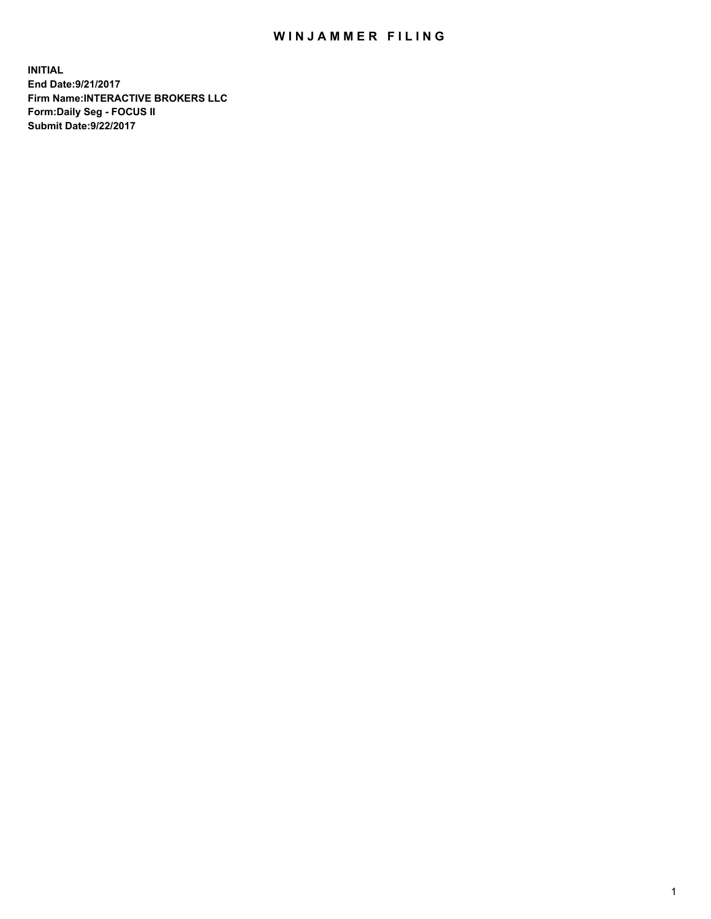## WIN JAMMER FILING

**INITIAL End Date:9/21/2017 Firm Name:INTERACTIVE BROKERS LLC Form:Daily Seg - FOCUS II Submit Date:9/22/2017**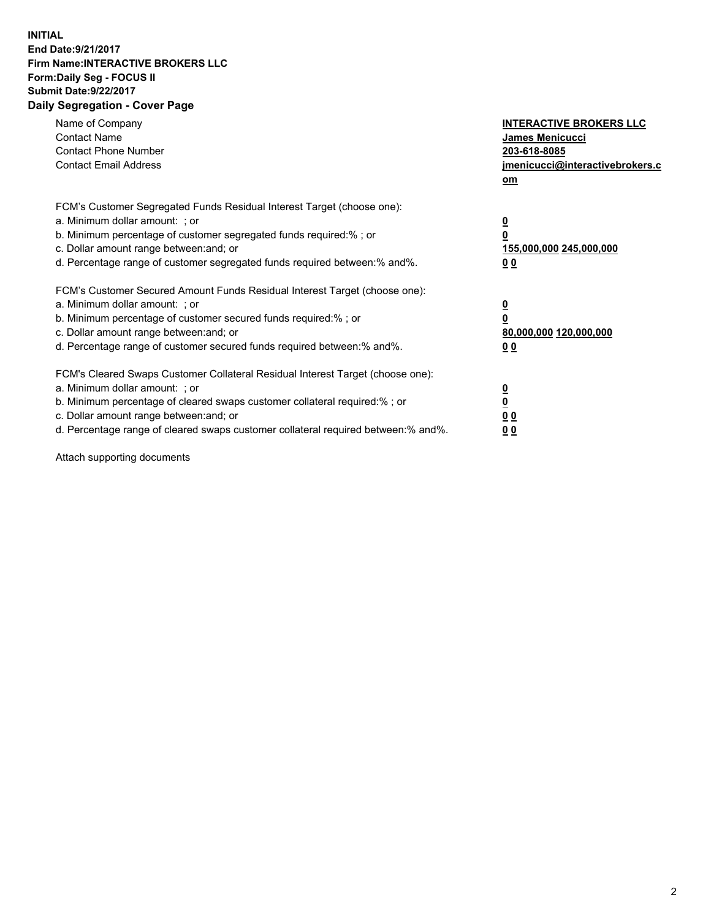## **INITIAL End Date:9/21/2017 Firm Name:INTERACTIVE BROKERS LLC Form:Daily Seg - FOCUS II Submit Date:9/22/2017 Daily Segregation - Cover Page**

| Name of Company<br><b>Contact Name</b><br><b>Contact Phone Number</b><br><b>Contact Email Address</b>                                                                                                                                                                                                                          | <b>INTERACTIVE BROKERS LLC</b><br>James Menicucci<br>203-618-8085<br>jmenicucci@interactivebrokers.c<br>om |
|--------------------------------------------------------------------------------------------------------------------------------------------------------------------------------------------------------------------------------------------------------------------------------------------------------------------------------|------------------------------------------------------------------------------------------------------------|
| FCM's Customer Segregated Funds Residual Interest Target (choose one):<br>a. Minimum dollar amount: ; or<br>b. Minimum percentage of customer segregated funds required:%; or<br>c. Dollar amount range between: and; or<br>d. Percentage range of customer segregated funds required between:% and%.                          | $\overline{\mathbf{0}}$<br>0<br>155,000,000 245,000,000<br>0 <sub>0</sub>                                  |
| FCM's Customer Secured Amount Funds Residual Interest Target (choose one):<br>a. Minimum dollar amount: ; or<br>b. Minimum percentage of customer secured funds required:%; or<br>c. Dollar amount range between: and; or<br>d. Percentage range of customer secured funds required between:% and%.                            | $\overline{\mathbf{0}}$<br>$\overline{\mathbf{0}}$<br>80,000,000 120,000,000<br>00                         |
| FCM's Cleared Swaps Customer Collateral Residual Interest Target (choose one):<br>a. Minimum dollar amount: ; or<br>b. Minimum percentage of cleared swaps customer collateral required:% ; or<br>c. Dollar amount range between: and; or<br>d. Percentage range of cleared swaps customer collateral required between:% and%. | $\overline{\mathbf{0}}$<br>$\overline{\mathbf{0}}$<br>0 <sub>0</sub><br><u>00</u>                          |

Attach supporting documents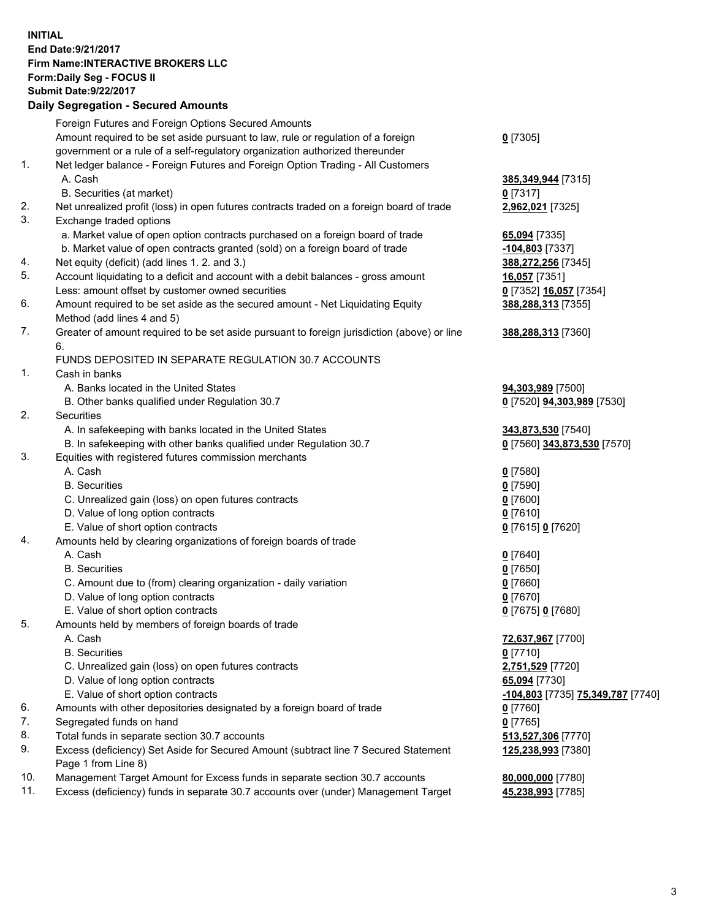## **INITIAL End Date:9/21/2017 Firm Name:INTERACTIVE BROKERS LLC Form:Daily Seg - FOCUS II Submit Date:9/22/2017 Daily Segregation - Secured Amounts**

|     | $-$ 0.000 0.000 0.000 0.000 0.000 0.000 0.000 0.000 0.000 0.000 0.000 0.000 0.000 0.000 0.000 0.000 0.000 0.000 0.000 0.000 0.000 0.000 0.000 0.000 0.000 0.000 0.000 0.000 0.000 0.000 0.000 0.000 0.000 0.000 0.000 0.000 0 |                                                 |
|-----|-------------------------------------------------------------------------------------------------------------------------------------------------------------------------------------------------------------------------------|-------------------------------------------------|
|     | Foreign Futures and Foreign Options Secured Amounts                                                                                                                                                                           |                                                 |
|     | Amount required to be set aside pursuant to law, rule or regulation of a foreign                                                                                                                                              | $0$ [7305]                                      |
|     | government or a rule of a self-regulatory organization authorized thereunder                                                                                                                                                  |                                                 |
| 1.  | Net ledger balance - Foreign Futures and Foreign Option Trading - All Customers                                                                                                                                               |                                                 |
|     | A. Cash                                                                                                                                                                                                                       | 385,349,944 [7315]                              |
|     | B. Securities (at market)                                                                                                                                                                                                     | $0$ [7317]                                      |
| 2.  | Net unrealized profit (loss) in open futures contracts traded on a foreign board of trade                                                                                                                                     | 2,962,021 [7325]                                |
| 3.  | Exchange traded options                                                                                                                                                                                                       |                                                 |
|     | a. Market value of open option contracts purchased on a foreign board of trade                                                                                                                                                | 65,094 [7335]                                   |
|     | b. Market value of open contracts granted (sold) on a foreign board of trade                                                                                                                                                  | -104,803 <sup>[7337]</sup>                      |
| 4.  | Net equity (deficit) (add lines 1.2. and 3.)                                                                                                                                                                                  | 388,272,256 [7345]                              |
| 5.  | Account liquidating to a deficit and account with a debit balances - gross amount                                                                                                                                             | <b>16,057</b> [7351]                            |
|     | Less: amount offset by customer owned securities                                                                                                                                                                              | 0 [7352] 16,057 [7354]                          |
| 6.  | Amount required to be set aside as the secured amount - Net Liquidating Equity                                                                                                                                                | 388,288,313 [7355]                              |
|     | Method (add lines 4 and 5)                                                                                                                                                                                                    |                                                 |
| 7.  | Greater of amount required to be set aside pursuant to foreign jurisdiction (above) or line                                                                                                                                   | 388,288,313 [7360]                              |
|     | 6.                                                                                                                                                                                                                            |                                                 |
|     | FUNDS DEPOSITED IN SEPARATE REGULATION 30.7 ACCOUNTS                                                                                                                                                                          |                                                 |
| 1.  | Cash in banks                                                                                                                                                                                                                 |                                                 |
|     | A. Banks located in the United States                                                                                                                                                                                         | 94,303,989 [7500]                               |
|     | B. Other banks qualified under Regulation 30.7                                                                                                                                                                                | 0 [7520] 94,303,989 [7530]                      |
| 2.  | Securities                                                                                                                                                                                                                    |                                                 |
|     | A. In safekeeping with banks located in the United States                                                                                                                                                                     | 343,873,530 [7540]                              |
|     | B. In safekeeping with other banks qualified under Regulation 30.7                                                                                                                                                            | 0 [7560] 343,873,530 [7570]                     |
| 3.  | Equities with registered futures commission merchants                                                                                                                                                                         |                                                 |
|     | A. Cash                                                                                                                                                                                                                       | $0$ [7580]                                      |
|     | <b>B.</b> Securities                                                                                                                                                                                                          | $0$ [7590]                                      |
|     | C. Unrealized gain (loss) on open futures contracts                                                                                                                                                                           | $0$ [7600]                                      |
|     | D. Value of long option contracts                                                                                                                                                                                             | $0$ [7610]                                      |
|     | E. Value of short option contracts                                                                                                                                                                                            |                                                 |
| 4.  | Amounts held by clearing organizations of foreign boards of trade                                                                                                                                                             | 0 [7615] 0 [7620]                               |
|     | A. Cash                                                                                                                                                                                                                       |                                                 |
|     |                                                                                                                                                                                                                               | $0$ [7640]                                      |
|     | <b>B.</b> Securities                                                                                                                                                                                                          | $0$ [7650]                                      |
|     | C. Amount due to (from) clearing organization - daily variation                                                                                                                                                               | $0$ [7660]                                      |
|     | D. Value of long option contracts                                                                                                                                                                                             | $0$ [7670]                                      |
|     | E. Value of short option contracts                                                                                                                                                                                            | 0 [7675] 0 [7680]                               |
| 5.  | Amounts held by members of foreign boards of trade                                                                                                                                                                            |                                                 |
|     | A. Cash                                                                                                                                                                                                                       | 72,637,967 [7700]                               |
|     | <b>B.</b> Securities                                                                                                                                                                                                          | $0$ [7710]                                      |
|     | C. Unrealized gain (loss) on open futures contracts                                                                                                                                                                           | 2,751,529 [7720]                                |
|     | D. Value of long option contracts                                                                                                                                                                                             | 65,094 [7730]                                   |
|     | E. Value of short option contracts                                                                                                                                                                                            | <u>-104,803</u> [7735] <u>75,349,787</u> [7740] |
| 6.  | Amounts with other depositories designated by a foreign board of trade                                                                                                                                                        | $0$ [7760]                                      |
| 7.  | Segregated funds on hand                                                                                                                                                                                                      | $0$ [7765]                                      |
| 8.  | Total funds in separate section 30.7 accounts                                                                                                                                                                                 | 513,527,306 [7770]                              |
| 9.  | Excess (deficiency) Set Aside for Secured Amount (subtract line 7 Secured Statement<br>Page 1 from Line 8)                                                                                                                    | 125,238,993 [7380]                              |
| 10. | Management Target Amount for Excess funds in separate section 30.7 accounts                                                                                                                                                   | 80,000,000 [7780]                               |
| 11. | Excess (deficiency) funds in separate 30.7 accounts over (under) Management Target                                                                                                                                            | 45,238,993 [7785]                               |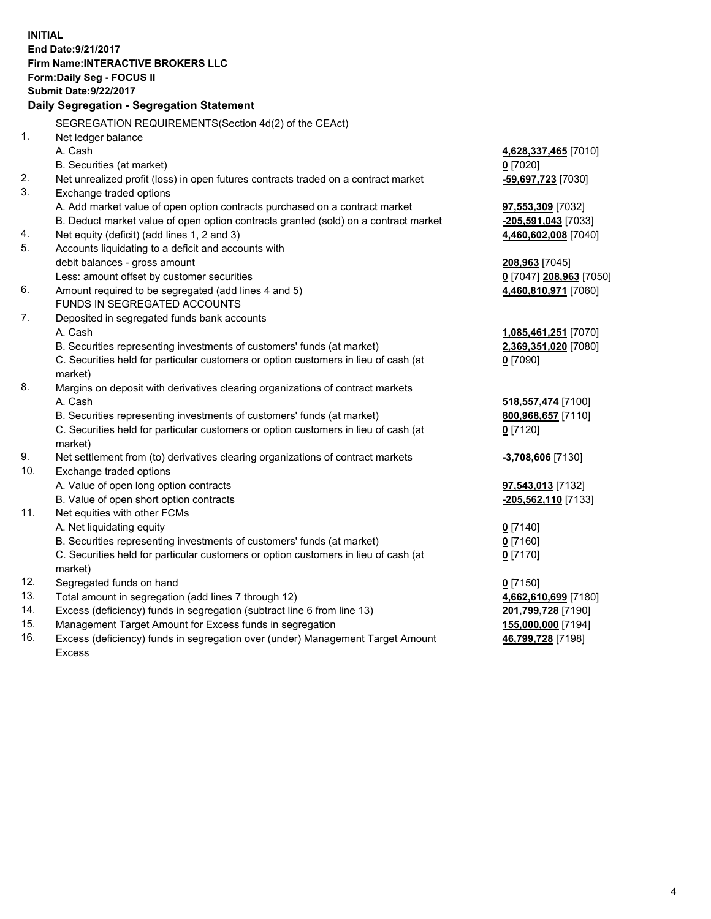**INITIAL End Date:9/21/2017 Firm Name:INTERACTIVE BROKERS LLC Form:Daily Seg - FOCUS II Submit Date:9/22/2017 Daily Segregation - Segregation Statement** SEGREGATION REQUIREMENTS(Section 4d(2) of the CEAct) 1. Net ledger balance A. Cash **4,628,337,465** [7010] B. Securities (at market) **0** [7020] 2. Net unrealized profit (loss) in open futures contracts traded on a contract market **-59,697,723** [7030] 3. Exchange traded options A. Add market value of open option contracts purchased on a contract market **97,553,309** [7032] B. Deduct market value of open option contracts granted (sold) on a contract market **-205,591,043** [7033] 4. Net equity (deficit) (add lines 1, 2 and 3) **4,460,602,008** [7040] 5. Accounts liquidating to a deficit and accounts with debit balances - gross amount **208,963** [7045] Less: amount offset by customer securities **0** [7047] **208,963** [7050] 6. Amount required to be segregated (add lines 4 and 5) **4,460,810,971** [7060] FUNDS IN SEGREGATED ACCOUNTS 7. Deposited in segregated funds bank accounts A. Cash **1,085,461,251** [7070] B. Securities representing investments of customers' funds (at market) **2,369,351,020** [7080] C. Securities held for particular customers or option customers in lieu of cash (at market) **0** [7090] 8. Margins on deposit with derivatives clearing organizations of contract markets A. Cash **518,557,474** [7100] B. Securities representing investments of customers' funds (at market) **800,968,657** [7110] C. Securities held for particular customers or option customers in lieu of cash (at market) **0** [7120] 9. Net settlement from (to) derivatives clearing organizations of contract markets **-3,708,606** [7130] 10. Exchange traded options A. Value of open long option contracts **97,543,013** [7132] B. Value of open short option contracts **-205,562,110** [7133] 11. Net equities with other FCMs A. Net liquidating equity **0** [7140] B. Securities representing investments of customers' funds (at market) **0** [7160] C. Securities held for particular customers or option customers in lieu of cash (at market) **0** [7170] 12. Segregated funds on hand **0** [7150] 13. Total amount in segregation (add lines 7 through 12) **4,662,610,699** [7180] 14. Excess (deficiency) funds in segregation (subtract line 6 from line 13) **201,799,728** [7190] 15. Management Target Amount for Excess funds in segregation **155,000,000** [7194] **46,799,728** [7198]

16. Excess (deficiency) funds in segregation over (under) Management Target Amount Excess